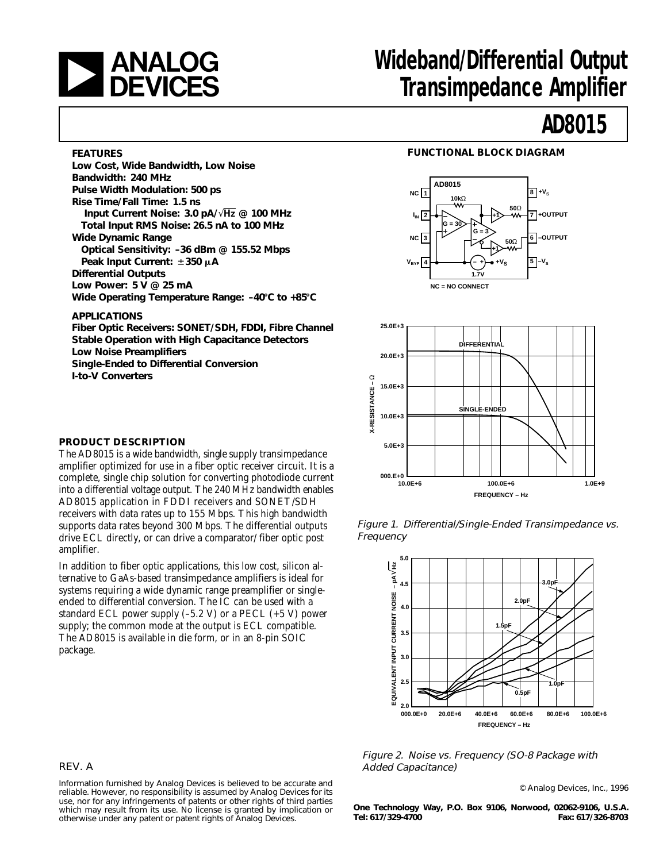

## **and Mideband/Differential Output**<br> **DEVICES** Transimpedance Amplifier **Transimpedance Amplifier**

## **AD8015**

#### **FEATURES**

**Low Cost, Wide Bandwidth, Low Noise Bandwidth: 240 MHz Pulse Width Modulation: 500 ps Rise Time/Fall Time: 1.5 ns Input Current Noise: 3.0 pA/**√**Hz @ 100 MHz Total Input RMS Noise: 26.5 nA to 100 MHz Wide Dynamic Range Optical Sensitivity: –36 dBm @ 155.52 Mbps Peak Input Current:** 6**350** m**A Differential Outputs Low Power: 5 V @ 25 mA** Wide Operating Temperature Range: -40°C to +85°C **APPLICATIONS**

**Fiber Optic Receivers: SONET/SDH, FDDI, Fibre Channel Stable Operation with High Capacitance Detectors Low Noise Preamplifiers Single-Ended to Differential Conversion I-to-V Converters**

#### **FUNCTIONAL BLOCK DIAGRAM**





#### **PRODUCT DESCRIPTION**

The AD8015 is a wide bandwidth, single supply transimpedance amplifier optimized for use in a fiber optic receiver circuit. It is a complete, single chip solution for converting photodiode current into a differential voltage output. The 240 MHz bandwidth enables AD8015 application in FDDI receivers and SONET/SDH receivers with data rates up to 155 Mbps. This high bandwidth supports data rates beyond 300 Mbps. The differential outputs drive ECL directly, or can drive a comparator/ fiber optic post amplifier.

In addition to fiber optic applications, this low cost, silicon alternative to GaAs-based transimpedance amplifiers is ideal for systems requiring a wide dynamic range preamplifier or singleended to differential conversion. The IC can be used with a standard ECL power supply  $(-5.2 \text{ V})$  or a PECL  $(+5 \text{ V})$  power supply; the common mode at the output is ECL compatible. The AD8015 is available in die form, or in an 8-pin SOIC package.

Figure 1. Differential/Single-Ended Transimpedance vs. Frequency



Figure 2. Noise vs. Frequency (SO-8 Package with REV. A **Added Capacitance**) **Added Capacitance**)

© Analog Devices, Inc., 1996

**One Technology Way, P.O. Box 9106, Norwood, 02062-9106, U.S.A. Tel: 617/329-4700 Fax: 617/326-8703**

Information furnished by Analog Devices is believed to be accurate and reliable. However, no responsibility is assumed by Analog Devices for its use, nor for any infringements of patents or other rights of third parties which may result from its use. No license is granted by implication or otherwise under any patent or patent rights of Analog Devices.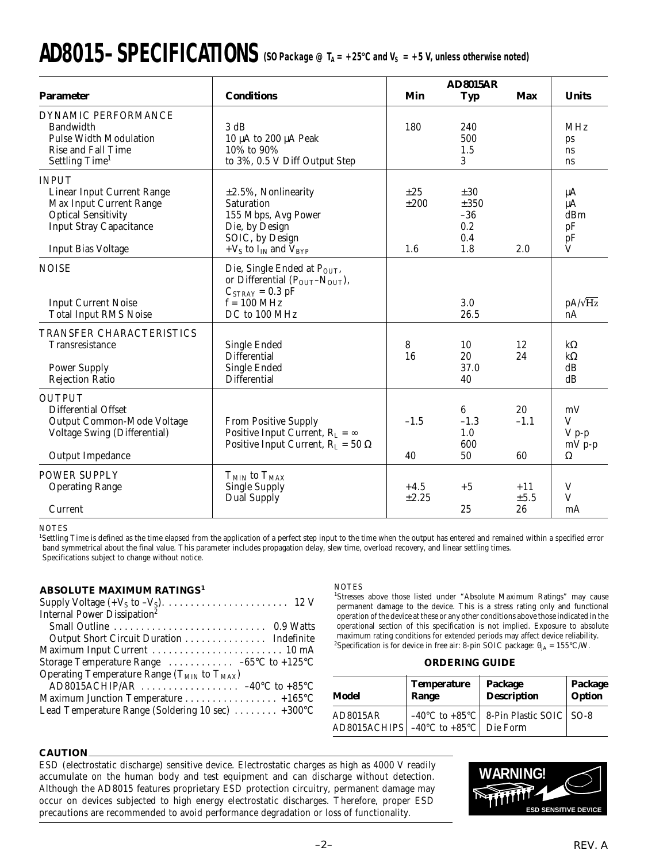# $\bf{AD8015{\rm{-}SPECIFICATIONS}$  (SO Package @ T<sub>A</sub> = +25°C and V<sub>S</sub> = +5 V, unless otherwise noted)

|                                                                                                                                                                                  |                                                                                                                                                 |                         | <b>AD8015AR</b>                                |                     |                                       |
|----------------------------------------------------------------------------------------------------------------------------------------------------------------------------------|-------------------------------------------------------------------------------------------------------------------------------------------------|-------------------------|------------------------------------------------|---------------------|---------------------------------------|
| <b>Parameter</b>                                                                                                                                                                 | <b>Conditions</b>                                                                                                                               | Min                     | <b>Typ</b>                                     | <b>Max</b>          | <b>Units</b>                          |
| DYNAMIC PERFORMANCE<br><b>Bandwidth</b><br><b>Pulse Width Modulation</b><br>Rise and Fall Time<br>Settling Time <sup>1</sup>                                                     | 3 dB<br>10 μA to 200 μA Peak<br>10% to 90%<br>to 3%, 0.5 V Diff Output Step                                                                     | 180                     | 240<br>500<br>1.5<br>3                         |                     | <b>MHz</b><br>ps<br>ns<br>ns          |
| <b>INPUT</b><br><b>Linear Input Current Range</b><br><b>Max Input Current Range</b><br><b>Optical Sensitivity</b><br><b>Input Stray Capacitance</b><br><b>Input Bias Voltage</b> | $\pm 2.5$ %, Nonlinearity<br><b>Saturation</b><br>155 Mbps, Avg Power<br>Die, by Design<br>SOIC, by Design<br>+ $V_S$ to $I_{IN}$ and $V_{BYP}$ | $\pm 25$<br>±200<br>1.6 | $\pm 30$<br>±350<br>$-36$<br>0.2<br>0.4<br>1.8 | 2.0                 | μA<br>$\mu A$<br>dBm<br>pF<br>pF<br>V |
| <b>NOISE</b><br><b>Input Current Noise</b><br><b>Total Input RMS Noise</b>                                                                                                       | Die, Single Ended at $P_{OUT}$ ,<br>or Differential $(P_{OUT} - N_{OUT})$ ,<br>$C_{STRAY} = 0.3$ pF<br>$f = 100$ MHz<br>DC to 100 MHz           |                         | 3.0<br>26.5                                    |                     | $pA/\sqrt{Hz}$<br>nA                  |
| TRANSFER CHARACTERISTICS<br>Transresistance<br><b>Power Supply</b><br><b>Rejection Ratio</b>                                                                                     | <b>Single Ended</b><br><b>Differential</b><br><b>Single Ended</b><br><b>Differential</b>                                                        | 8<br>16                 | 10<br>20<br>37.0<br>40                         | 12<br>24            | $k\Omega$<br>$k\Omega$<br>dB<br>dB    |
| <b>OUTPUT</b><br><b>Differential Offset</b><br>Output Common-Mode Voltage<br><b>Voltage Swing (Differential)</b><br>Output Impedance                                             | From Positive Supply<br>Positive Input Current, $R_L = \infty$<br>Positive Input Current, $R_{L} = 50 \Omega$                                   | $-1.5$<br>40            | 6<br>$-1.3$<br>1.0<br>600<br>50                | 20<br>$-1.1$<br>60  | mV<br>V<br>$V p-p$<br>$mV$ p-p<br>Ω   |
| <b>POWER SUPPLY</b><br><b>Operating Range</b><br>Current                                                                                                                         | $T_{MIN}$ to $T_{MAX}$<br><b>Single Supply</b><br><b>Dual Supply</b>                                                                            | $+4.5$<br>±2.25         | $+5$<br>25                                     | $+11$<br>±5.5<br>26 | $\mathbf V$<br>V<br>mA                |

**NOTES** 

<sup>1</sup>Settling Time is defined as the time elapsed from the application of a perfect step input to the time when the output has entered and remained within a specified error band symmetrical about the final value. This parameter includes propagation delay, slew time, overload recovery, and linear settling times. Specifications subject to change without notice.

#### **ABSOLUTE MAXIMUM RATINGS<sup>1</sup>**

| Output Short Circuit Duration Indefinite                       |
|----------------------------------------------------------------|
|                                                                |
| Storage Temperature Range $\dots \dots \dots -65$ °C to +125°C |
|                                                                |
|                                                                |
| Maximum Junction Temperature 4165°C                            |
| Lead Temperature Range (Soldering 10 sec)  +300°C              |
|                                                                |

#### **NOTES**

<sup>1</sup>Stresses above those listed under "Absolute Maximum Ratings" may cause permanent damage to the device. This is a stress rating only and functional operation of the device at these or any other conditions above those indicated in the operational section of this specification is not implied. Exposure to absolute maximum rating conditions for extended periods may affect device reliability. <sup>2</sup>Specification is for device in free air: 8-pin SOIC package:  $\theta_{JA} = 155^{\circ}$ C/W.

#### **ORDERING GUIDE**

| Model    | <b>Temperature</b>                                   | Package                                                        | Package |
|----------|------------------------------------------------------|----------------------------------------------------------------|---------|
|          | Range                                                | <b>Description</b>                                             | Option  |
| AD8015AR | AD8015ACHIPS $\vert$ –40°C to +85°C $\vert$ Die Form | $-40^{\circ}$ C to $+85^{\circ}$ C   8-Pin Plastic SOIC   SO-8 |         |

#### **CAUTION**

ESD (electrostatic discharge) sensitive device. Electrostatic charges as high as 4000 V readily accumulate on the human body and test equipment and can discharge without detection. Although the AD8015 features proprietary ESD protection circuitry, permanent damage may occur on devices subjected to high energy electrostatic discharges. Therefore, proper ESD precautions are recommended to avoid performance degradation or loss of functionality.

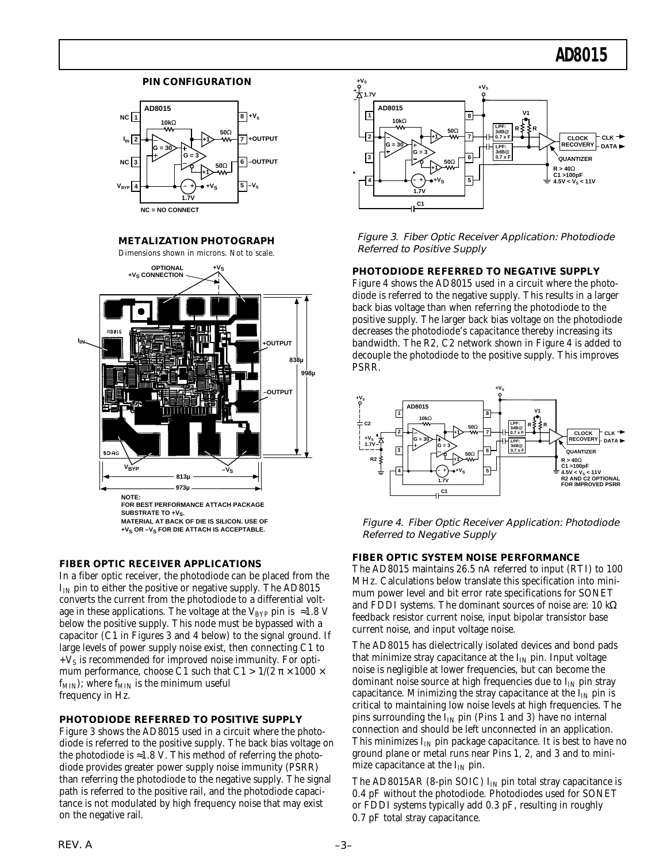#### **PIN CONFIGURATION**



**METALIZATION PHOTOGRAPH**

Dimensions shown in microns. Not to scale.



#### **FIBER OPTIC RECEIVER APPLICATIONS**

In a fiber optic receiver, the photodiode can be placed from the  $I_{IN}$  pin to either the positive or negative supply. The AD8015 converts the current from the photodiode to a differential voltage in these applications. The voltage at the V<sub>BYP</sub> pin is  $\approx$ 1.8 V below the positive supply. This node must be bypassed with a capacitor (C1 in Figures 3 and 4 below) to the signal ground. If large levels of power supply noise exist, then connecting C1 to  $+V_s$  is recommended for improved noise immunity. For optimum performance, choose C1 such that  $C1 > 1/(2 \pi \times 1000 \times$  $f_{MIN}$ ); where  $f_{MIN}$  is the minimum useful frequency in Hz.

#### **PHOTODIODE REFERRED TO POSITIVE SUPPLY**

Figure 3 shows the AD8015 used in a circuit where the photodiode is referred to the positive supply. The back bias voltage on the photodiode is  $\approx$ 1.8 V. This method of referring the photodiode provides greater power supply noise immunity (PSRR) than referring the photodiode to the negative supply. The signal path is referred to the positive rail, and the photodiode capacitance is not modulated by high frequency noise that may exist on the negative rail.



Figure 3. Fiber Optic Receiver Application: Photodiode Referred to Positive Supply

**PHOTODIODE REFERRED TO NEGATIVE SUPPLY**

Figure 4 shows the AD8015 used in a circuit where the photodiode is referred to the negative supply. This results in a larger back bias voltage than when referring the photodiode to the positive supply. The larger back bias voltage on the photodiode decreases the photodiode's capacitance thereby increasing its bandwidth. The R2, C2 network shown in Figure 4 is added to decouple the photodiode to the positive supply. This improves PSRR.



Figure 4. Fiber Optic Receiver Application: Photodiode Referred to Negative Supply

#### **FIBER OPTIC SYSTEM NOISE PERFORMANCE**

The AD8015 maintains 26.5 nA referred to input (RTI) to 100 MHz. Calculations below translate this specification into minimum power level and bit error rate specifications for SONET and FDDI systems. The dominant sources of noise are: 10 kΩ feedback resistor current noise, input bipolar transistor base current noise, and input voltage noise.

The AD8015 has dielectrically isolated devices and bond pads that minimize stray capacitance at the  $I_{IN}$  pin. Input voltage noise is negligible at lower frequencies, but can become the dominant noise source at high frequencies due to  $I_{IN}$  pin stray capacitance. Minimizing the stray capacitance at the  $I_{IN}$  pin is critical to maintaining low noise levels at high frequencies. The pins surrounding the  $I_{IN}$  pin (Pins 1 and 3) have no internal connection and should be left unconnected in an application. This minimizes  $I_{IN}$  pin package capacitance. It is best to have no ground plane or metal runs near Pins 1, 2, and 3 and to minimize capacitance at the  $I_{IN}$  pin.

The AD8015AR (8-pin SOIC)  $I_{IN}$  pin total stray capacitance is 0.4 pF without the photodiode. Photodiodes used for SONET or FDDI systems typically add 0.3 pF, resulting in roughly 0.7 pF total stray capacitance.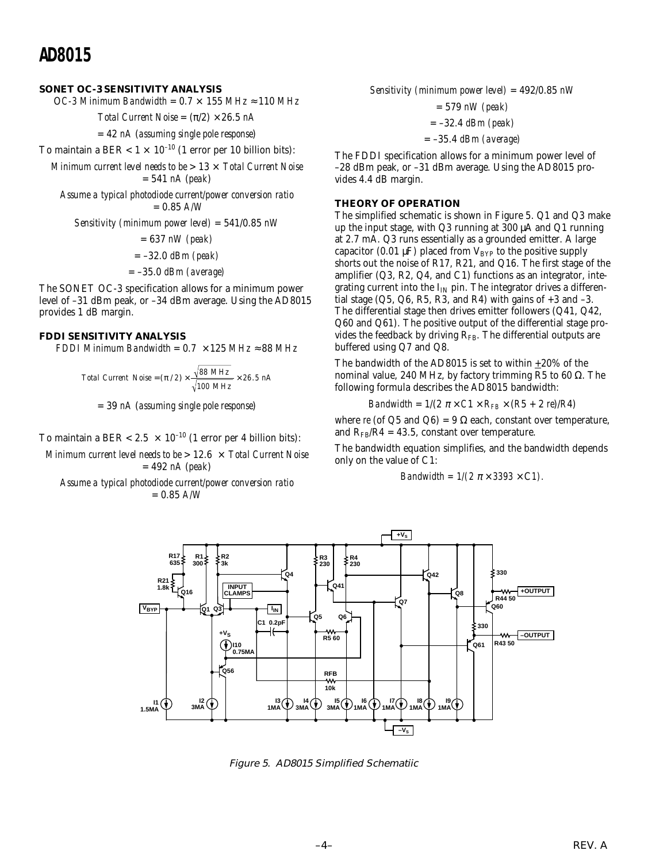#### **SONET OC-3 SENSITIVITY ANALYSIS**

OC-3 Minimum Bandwidth =  $0.7 \times 155$  MHz  $\approx 110$  MHz

*Total Current Noise* =  $(\pi/2) \times 26.5$  *nA* 

= 42 *nA* (*assuming single pole response*)

To maintain a BER <  $1 \times 10^{-10}$  (1 error per 10 billion bits):

*Minimum current level needs to be* > 13 × *Total Current Noise* = 541 *nA* (*peak*)

*Assume a typical photodiode current/power conversion ratio* = 0.85 *A/W*

*Sensitivity (minimum power level)* = 541/0.85 *nW*

= 637 *nW (peak)*

- = –32.0 *dBm (peak)*
- = –35.0 *dBm (average)*

The SONET OC-3 specification allows for a minimum power level of –31 dBm peak, or –34 dBm average. Using the AD8015 provides 1 dB margin.

#### **FDDI SENSITIVITY ANALYSIS**

*FDDI Minimum Bandwidth* =  $0.7 \times 125$  *MHz*  $\approx 88$  *MHz* 

*Total Current Noise* =  $(\pi / 2) \times \frac{\sqrt{88 MHz}}{\sqrt{100 MHz}} \times 26.5 nA$ 

= 39 *nA* (*assuming single pole response*)

To maintain a BER < 2.5  $\times$  10<sup>-10</sup> (1 error per 4 billion bits):

*Minimum current level needs to be* > 12.6 × *Total Current Noise* = 492 *nA* (*peak*)

*Assume a typical photodiode current/power conversion ratio* = 0.85 *A/W*

*Sensitivity (minimum power level)* = 492/0.85 *nW*

= 579 *nW (peak)*

= –32.4 *dBm (peak)*

= –35.4 *dBm (average)*

The FDDI specification allows for a minimum power level of –28 dBm peak, or –31 dBm average. Using the AD8015 provides 4.4 dB margin.

#### **THEORY OF OPERATION**

The simplified schematic is shown in Figure 5. Q1 and Q3 make up the input stage, with Q3 running at 300 µA and Q1 running at 2.7 mA. Q3 runs essentially as a grounded emitter. A large capacitor (0.01  $\mu$ F) placed from V<sub>BYP</sub> to the positive supply shorts out the noise of R17, R21, and Q16. The first stage of the amplifier (Q3, R2, Q4, and C1) functions as an integrator, integrating current into the  $I_{IN}$  pin. The integrator drives a differential stage  $(Q5, Q6, R5, R3, and R4)$  with gains of  $+3$  and  $-3$ . The differential stage then drives emitter followers (Q41, Q42, Q60 and Q61). The positive output of the differential stage provides the feedback by driving  $R_{FB}$ . The differential outputs are buffered using Q7 and Q8.

The bandwidth of the AD8015 is set to within  $\pm 20\%$  of the nominal value, 240 MHz, by factory trimming R5 to 60 Ω. The following formula describes the AD8015 bandwidth:

Bandwidth = 
$$
1/(2 \pi \times C1 \times R_{FB} \times (R5 + 2 \text{ rel})/R4)
$$

where *re* (of Q5 and Q6) = 9  $\Omega$  each, constant over temperature, and  $R_{FR}/R4 = 43.5$ , constant over temperature.

The bandwidth equation simplifies, and the bandwidth depends only on the value of C1:

Bandwidth = 
$$
1/(2 \pi \times 3393 \times C1)
$$
.



Figure 5. AD8015 Simplified Schematiic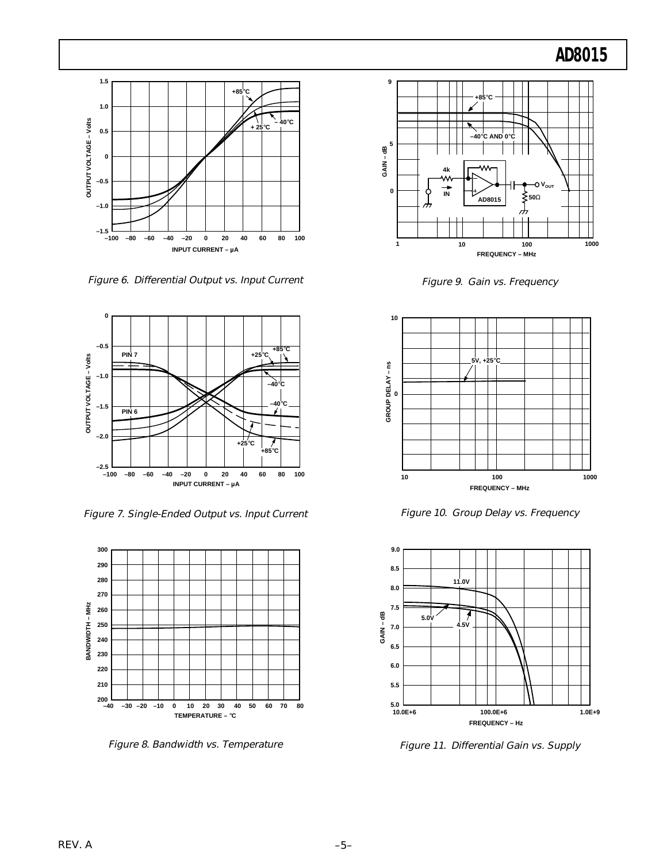

Figure 6. Differential Output vs. Input Current



Figure 7. Single-Ended Output vs. Input Current



Figure 8. Bandwidth vs. Temperature



Figure 9. Gain vs. Frequency



Figure 10. Group Delay vs. Frequency



Figure 11. Differential Gain vs. Supply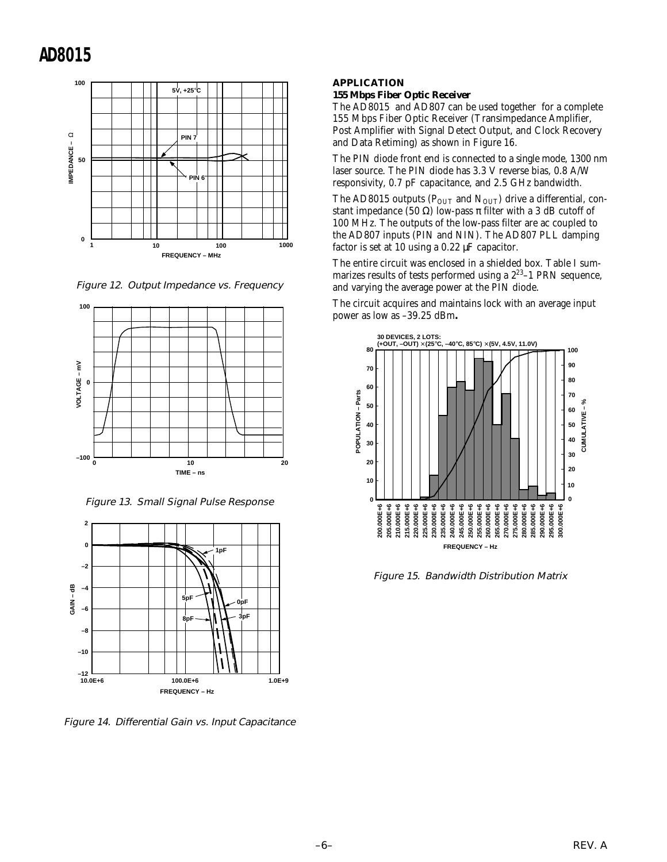

Figure 12. Output Impedance vs. Frequency



Figure 13. Small Signal Pulse Response



Figure 14. Differential Gain vs. Input Capacitance

### **APPLICATION**

#### **155 Mbps Fiber Optic Receiver**

The AD8015 and AD807 can be used together for a complete 155 Mbps Fiber Optic Receiver (Transimpedance Amplifier, Post Amplifier with Signal Detect Output, and Clock Recovery and Data Retiming) as shown in Figure 16.

The PIN diode front end is connected to a single mode, 1300 nm laser source. The PIN diode has 3.3 V reverse bias, 0.8 A/W responsivity, 0.7 pF capacitance, and 2.5 GHz bandwidth.

The AD8015 outputs ( $P_{OUT}$  and  $N_{OUT}$ ) drive a differential, constant impedance (50  $\Omega$ ) low-pass  $\pi$  filter with a 3 dB cutoff of 100 MHz. The outputs of the low-pass filter are ac coupled to the AD807 inputs (PIN and NIN). The AD807 PLL damping factor is set at 10 using a 0.22 µF capacitor.

The entire circuit was enclosed in a shielded box. Table I summarizes results of tests performed using a 223–1 PRN sequence, and varying the average power at the PIN diode.

The circuit acquires and maintains lock with an average input power as low as –39.25 dBm**.**



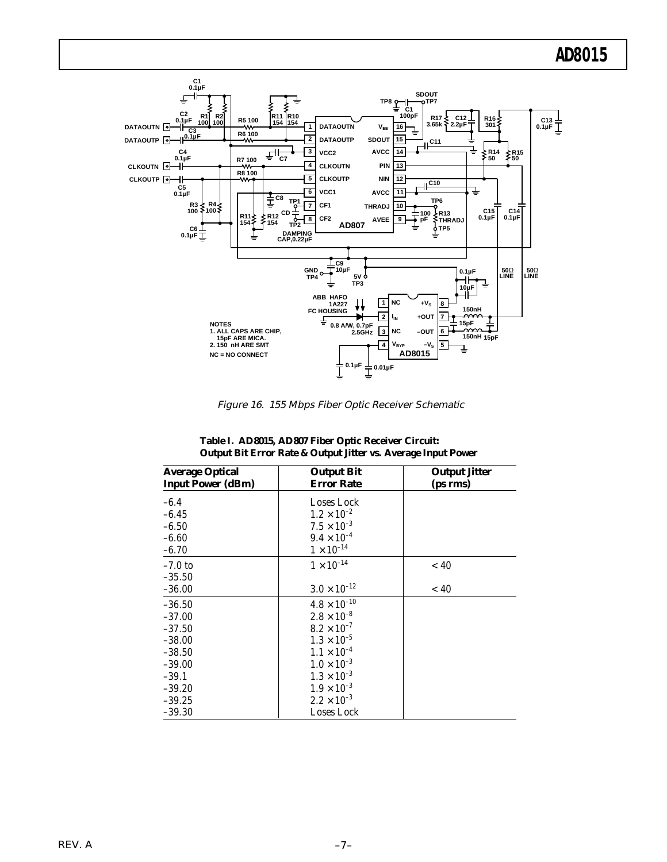

Figure 16. 155 Mbps Fiber Optic Receiver Schematic

| <b>Average Optical</b><br><b>Input Power (dBm)</b> | <b>Output Bit</b><br><b>Error Rate</b> | <b>Output Jitter</b><br>(ps rms) |
|----------------------------------------------------|----------------------------------------|----------------------------------|
| $-6.4$                                             | Loses Lock                             |                                  |
| $-6.45$                                            | $1.2 \times 10^{-2}$                   |                                  |
| $-6.50$                                            | $7.5 \times 10^{-3}$                   |                                  |
| $-6.60$                                            | $9.4 \times 10^{-4}$                   |                                  |
| $-6.70$                                            | $1\times10^{-14}$                      |                                  |
| $-7.0$ to                                          | $1\times10^{-14}$                      | ~< 40                            |
| $-35.50$                                           |                                        |                                  |
| $-36.00$                                           | $3.0 \times 10^{-12}$                  | ~< 40                            |
| $-36.50$                                           | $4.8 \times 10^{-10}$                  |                                  |
| $-37.00$                                           | $2.8\times10^{-8}$                     |                                  |
| $-37.50$                                           | $8.2 \times 10^{-7}$                   |                                  |
| $-38.00$                                           | $1.3 \times 10^{-5}$                   |                                  |
| $-38.50$                                           | $1.1 \times 10^{-4}$                   |                                  |
| $-39.00$                                           | $1.0 \times 10^{-3}$                   |                                  |
| $-39.1$                                            | $1.3 \times 10^{-3}$                   |                                  |
| $-39.20$                                           | $1.9 \times 10^{-3}$                   |                                  |
| $-39.25$                                           | $2.2 \times 10^{-3}$                   |                                  |
| $-39.30$                                           | Loses Lock                             |                                  |

**Table I. AD8015, AD807 Fiber Optic Receiver Circuit: Output Bit Error Rate & Output Jitter vs. Average Input Power**